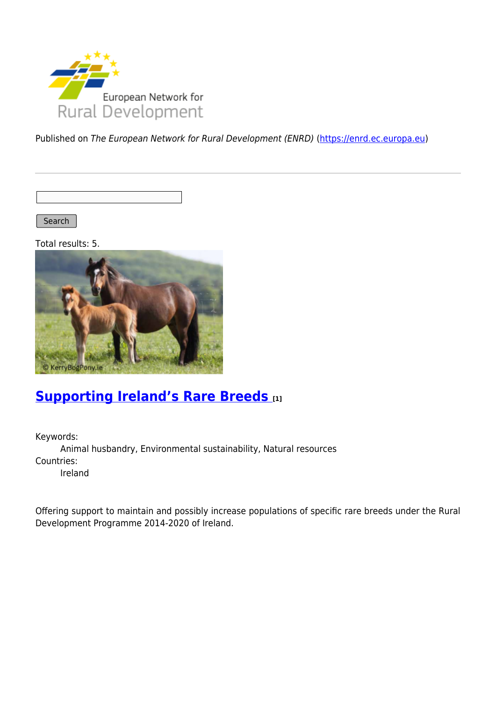

Published on The European Network for Rural Development (ENRD) [\(https://enrd.ec.europa.eu](https://enrd.ec.europa.eu))

Search |

Total results: 5.



# **[Supporting Ireland's Rare Breeds](https://enrd.ec.europa.eu/projects-practice/supporting-irelands-rare-breeds_en) [1]**

Keywords: Animal husbandry, Environmental sustainability, Natural resources Countries: Ireland

Offering support to maintain and possibly increase populations of specific rare breeds under the Rural Development Programme 2014-2020 of Ireland.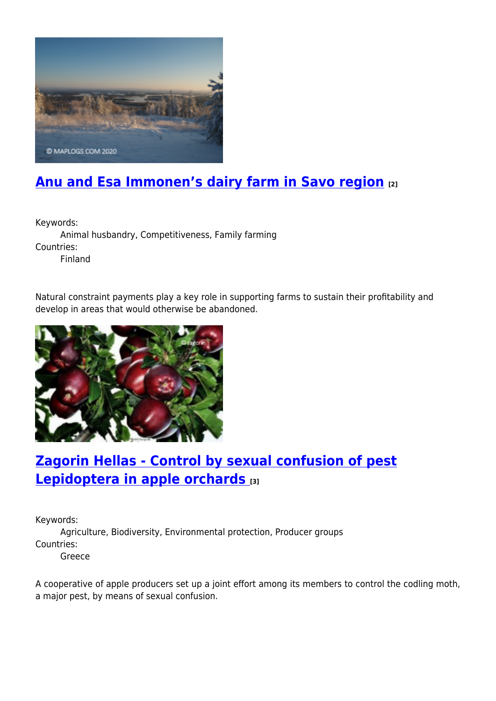

# **[Anu and Esa Immonen's dairy farm in Savo region](https://enrd.ec.europa.eu/projects-practice/anu-and-esa-immonens-dairy-farm-savo-region_en) [2]**

Keywords:

Animal husbandry, Competitiveness, Family farming Countries: Finland

Natural constraint payments play a key role in supporting farms to sustain their profitability and develop in areas that would otherwise be abandoned.



# **[Zagorin Hellas - Control by sexual confusion of pest](https://enrd.ec.europa.eu/projects-practice/zagorin-hellas-control-sexual-confusion-pest-lepidoptera-apple-orchards_en) [Lepidoptera in apple orchards](https://enrd.ec.europa.eu/projects-practice/zagorin-hellas-control-sexual-confusion-pest-lepidoptera-apple-orchards_en) [3]**

Keywords:

Agriculture, Biodiversity, Environmental protection, Producer groups Countries:

Greece

A cooperative of apple producers set up a joint effort among its members to control the codling moth, a major pest, by means of sexual confusion.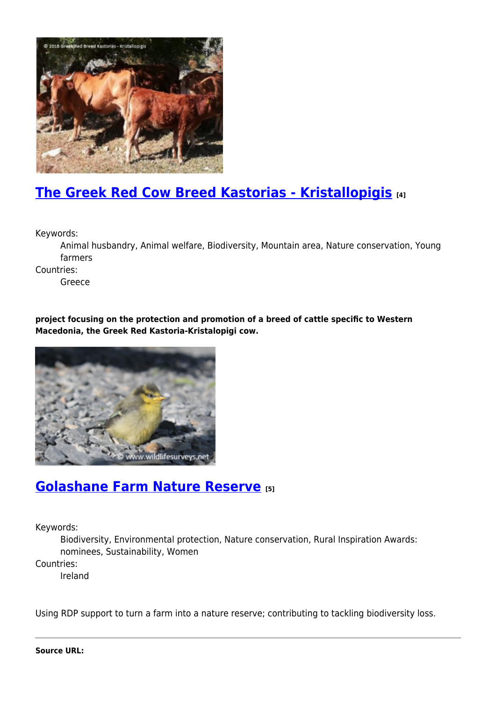

# **[The Greek Red Cow Breed Kastorias - Kristallopigis](https://enrd.ec.europa.eu/projects-practice/greek-red-cow-breed-kastorias-kristallopigis_en) [4]**

Keywords:

Animal husbandry, Animal welfare, Biodiversity, Mountain area, Nature conservation, Young farmers

Countries:

Greece

**project focusing on the protection and promotion of a breed of cattle specific to Western Macedonia, the Greek Red Kastoria-Kristalopigi cow.**



#### **[Golashane Farm Nature Reserve](https://enrd.ec.europa.eu/projects-practice/golashane-farm-nature-reserve_en) [5]**

Keywords:

Biodiversity, Environmental protection, Nature conservation, Rural Inspiration Awards: nominees, Sustainability, Women

Countries:

Ireland

Using RDP support to turn a farm into a nature reserve; contributing to tackling biodiversity loss.